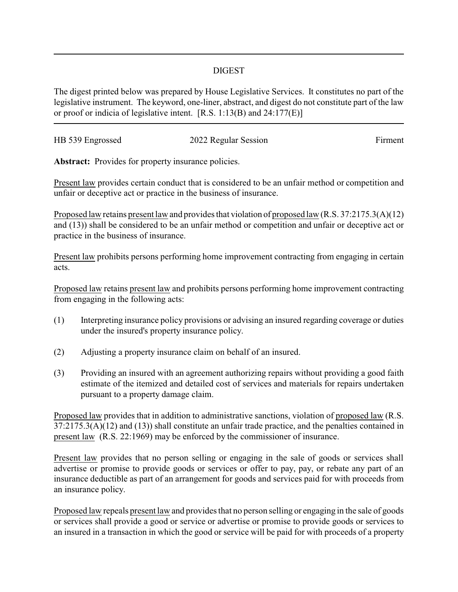## DIGEST

The digest printed below was prepared by House Legislative Services. It constitutes no part of the legislative instrument. The keyword, one-liner, abstract, and digest do not constitute part of the law or proof or indicia of legislative intent. [R.S. 1:13(B) and 24:177(E)]

| HB 539 Engrossed | 2022 Regular Session | Firment |
|------------------|----------------------|---------|
|                  |                      |         |

Abstract: Provides for property insurance policies.

Present law provides certain conduct that is considered to be an unfair method or competition and unfair or deceptive act or practice in the business of insurance.

Proposed law retains present law and provides that violation of proposed law (R.S. 37:2175.3(A)(12) and (13)) shall be considered to be an unfair method or competition and unfair or deceptive act or practice in the business of insurance.

Present law prohibits persons performing home improvement contracting from engaging in certain acts.

Proposed law retains present law and prohibits persons performing home improvement contracting from engaging in the following acts:

- (1) Interpreting insurance policy provisions or advising an insured regarding coverage or duties under the insured's property insurance policy.
- (2) Adjusting a property insurance claim on behalf of an insured.
- (3) Providing an insured with an agreement authorizing repairs without providing a good faith estimate of the itemized and detailed cost of services and materials for repairs undertaken pursuant to a property damage claim.

Proposed law provides that in addition to administrative sanctions, violation of proposed law (R.S. 37:2175.3(A)(12) and (13)) shall constitute an unfair trade practice, and the penalties contained in present law (R.S. 22:1969) may be enforced by the commissioner of insurance.

Present law provides that no person selling or engaging in the sale of goods or services shall advertise or promise to provide goods or services or offer to pay, pay, or rebate any part of an insurance deductible as part of an arrangement for goods and services paid for with proceeds from an insurance policy.

Proposed law repeals present law and provides that no person selling or engaging in the sale of goods or services shall provide a good or service or advertise or promise to provide goods or services to an insured in a transaction in which the good or service will be paid for with proceeds of a property